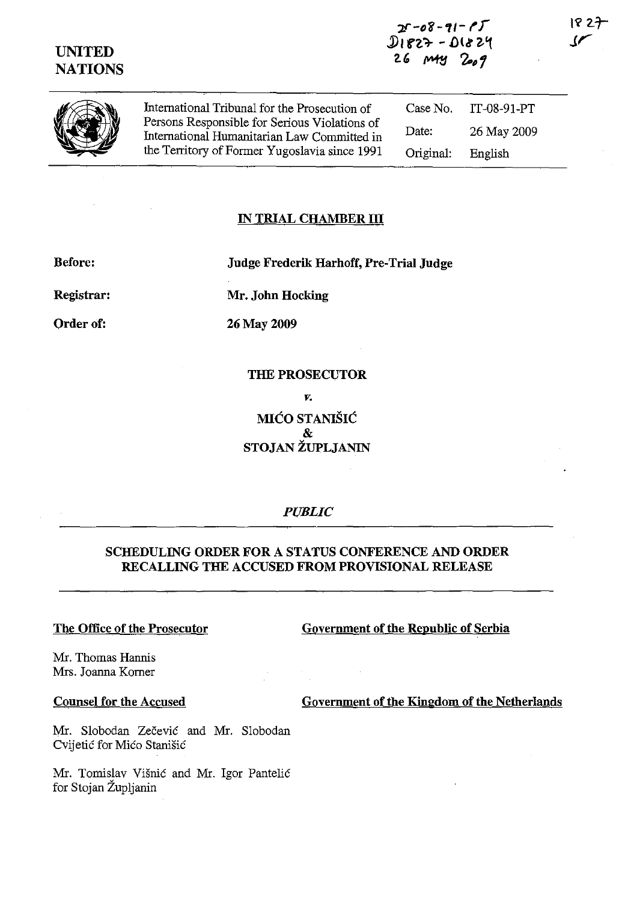

International Tribunal for the Prosecution of Persons Responsible for Serious Violations of International Humanitarian Law Committed in the Territory of Forrner Yugoslavia since 1991

Case No. IT-08-91-PT Date: 26 May 2009 Original: English

#### **IN TRIAL CHAMBER III**

**Before: Judge Frederik Harhoff, Pre-Trial Judge** 

**Registrar:** 

Order of:

**Mr. John Hocking** 

26 May 2009

**THE PROSECUTOR**  *v.*  **MlCO STANISIC**  & **STOJAN ZUPLJANIN** 

*PUBLIC* 

## **SCHEDULING ORDER FOR A STATUS CONFERENCE AND ORDER RECALLING THE ACCUSED FROM PROVISIONAL RELEASE**

#### **The Office of the Prosecutor**

**Government of the Republic of Serbia** 

Mr. Thomas Hannis Mrs. Joanna Korner

#### **Counsel for the Accused**

**Government of the Kingdom of the Netherlands** 

Mr. Slobodan Zečević and Mr. Slobodan Cvijetić for Mićo Stanišić

Mr. Tomislav Visnic and Mr. Igor Pantelic for Stojan Zupljanin

18 27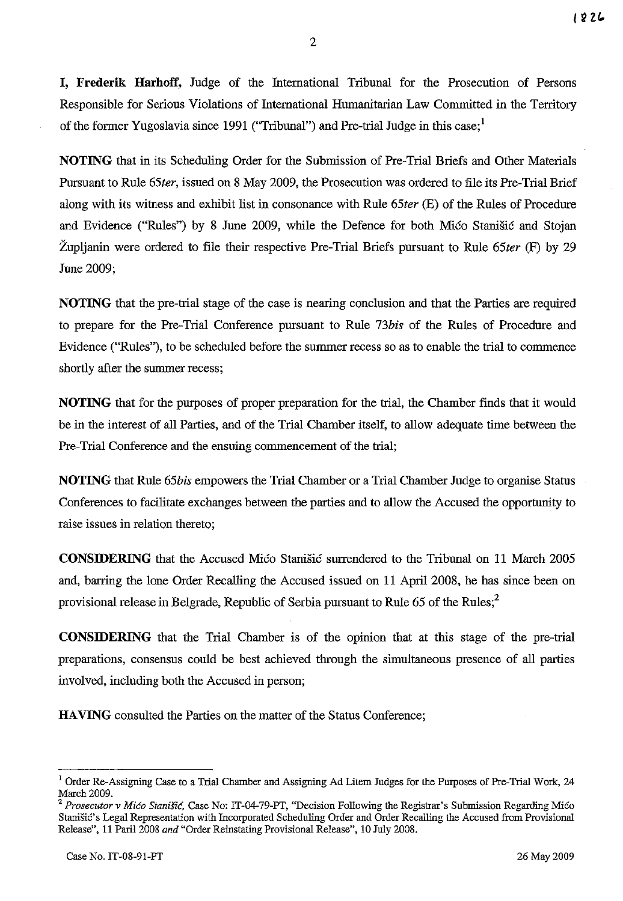1826

**I, Frederik Harhoff,** Judge of the International Tribunal for the Prosecution of Persons Responsible for Serious Violations of International Humanitarian Law Committed in the Territory of the former Yugoslavia since 1991 ("Tribunal") and Pre-trial Judge in this case;<sup>1</sup>

**NOTING** that in its Scheduling Order for the Submission of Pre-Trial Briefs and Other Materials Pursuant to Rule *65ter,* issued on 8 May 2009, the Prosecution was ordered to file its Pre-Trial Brief along with its witness and exhibit list in consonance with Rule *65ter* (E) of the Rules of Procedure and Evidence ("Rules") by 8 June 2009, while the Defence for both Mico Stanisic and Stojan Zupljanin were ordered to file their respective Pre-Trial Briefs pursuant to Rule *65ter* (F) by 29 June 2009;

**NOTING** that the pre-trial stage of the case is nearing conclusion and that the Parties are required to prepare for the Pre-Trial Conference pursuant to Rule *73bis* of the Rules of Procedure and Evidence ("Rules"), to be scheduled before the summer recess so as to enable the trial to commence shortly after the summer recess;

**NOTING** that for the purposes of proper preparation for the trial, the Chamber finds that it would be in the interest of all Parties, and of the Trial Chamber itself, to allow adequate time between the Pre-Trial Conference and the ensuing commencement of the trial;

**NOTING** that Rule *65bis* empowers the Trial Chamber or a Trial Chamber Judge to organise Status Conferences to facilitate exchanges between the parties and to allow the Accused the opportunity to raise issues in relation thereto;

**CONSIDERING** that the Accused Mico Stanisic surrendered to the Tribunal on 11 March 2005 and, barring the lone Order Recalling the Accused issued on 11 April 2008, he has since been on provisional release in Belgrade, Republic of Serbia pursuant to Rule 65 of the Rules;<sup>2</sup>

**CONSIDERING** that the Trial Chamber is of the opinion that at this stage of the pre-trial preparations, consensus could be best achieved through the simultaneous presence of all parties involved, including both the Accused in person;

HAVING consulted the Parties on the matter of the Status Conference;

 $1$  Order Re-Assigning Case to a Trial Chamber and Assigning Ad Litem Judges for the Purposes of Pre-Trial Work, 24 March 2009.

Prosecutor v Mićo Stanišić, Case No: IT-04-79-PT, "Decision Following the Registrar's Submission Regarding Mićo Stanišić's Legal Representation with Incorporated Scheduling Order and Order Recalling the Accused from Provisional Release", 11 Paril2008 *and* "Order Reinstating Provisional Release", 10 July 2008.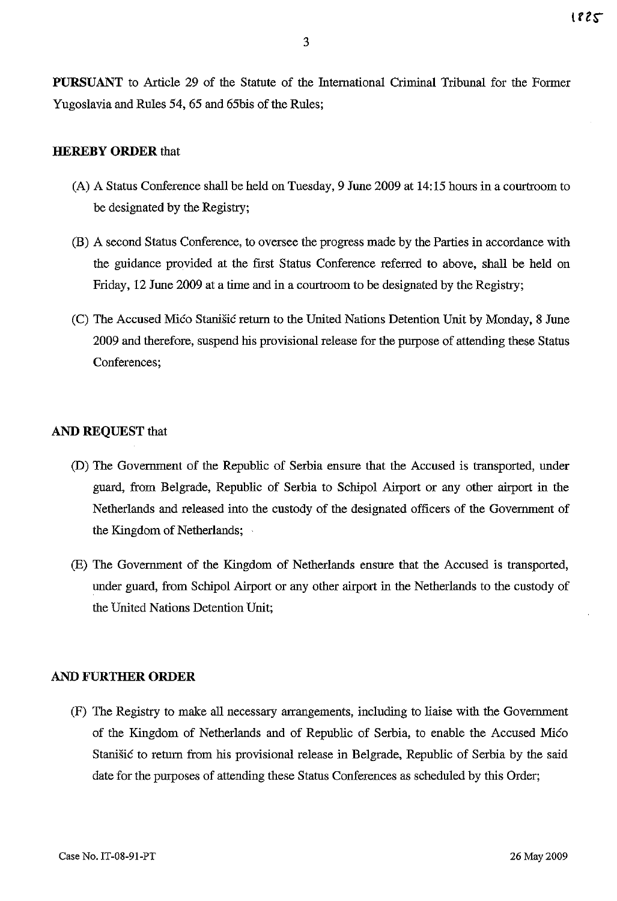**PURSUANT** to Article 29 of the Statute of the International Criminal Tribunal for the Former Yugoslavia and Rules 54, 65 and 65bis of the Rules;

### **HEREBY ORDER** that

- (A) A Status Conference shall be held on Tuesday, 9 June 2009 at 14:15 hours in a courtroom to be designated by the Registry;
- (B) A second Status Conference, to oversee the progress made by the Parties in accordance with the guidance provided at the first Status Conference referred to above, shall be held on Friday, 12 June 2009 at a time and in a courtroom to be designated by the Registry;
- (C) The Accused Mico Stanisic return to the United Nations Detention Unit by Monday, 8 June 2009 and therefore, suspend his provisional release for the purpose of attending these Status Conferences;

### **AND REQUEST** that

- (D) The Government of the Republic of Serbia ensure that the Accused is transported, under guard, from Belgrade, Republic of Serbia to Schipol Airport or any other airport in the Netherlands and released into the custody of the designated officers of the Government of the Kingdom of Netherlands;
- (E) The Government of the Kingdom of Netherlands ensure that the Accused is transported, under guard, from Schipol Airport or any other airport in the Netherlands to the custody of the United Nations Detention Unit;

#### **AND FURTHER ORDER**

(F) The Registry to make **all** necessary arrangements, including to liaise with the Government of the Kingdom of Netherlands and of Republic of Serbia, to enable the Accused Mico Stanisic to return from his provisional release in Belgrade, Republic of Serbia by the said date for the purposes of attending these Status Conferences as scheduled by this Order;